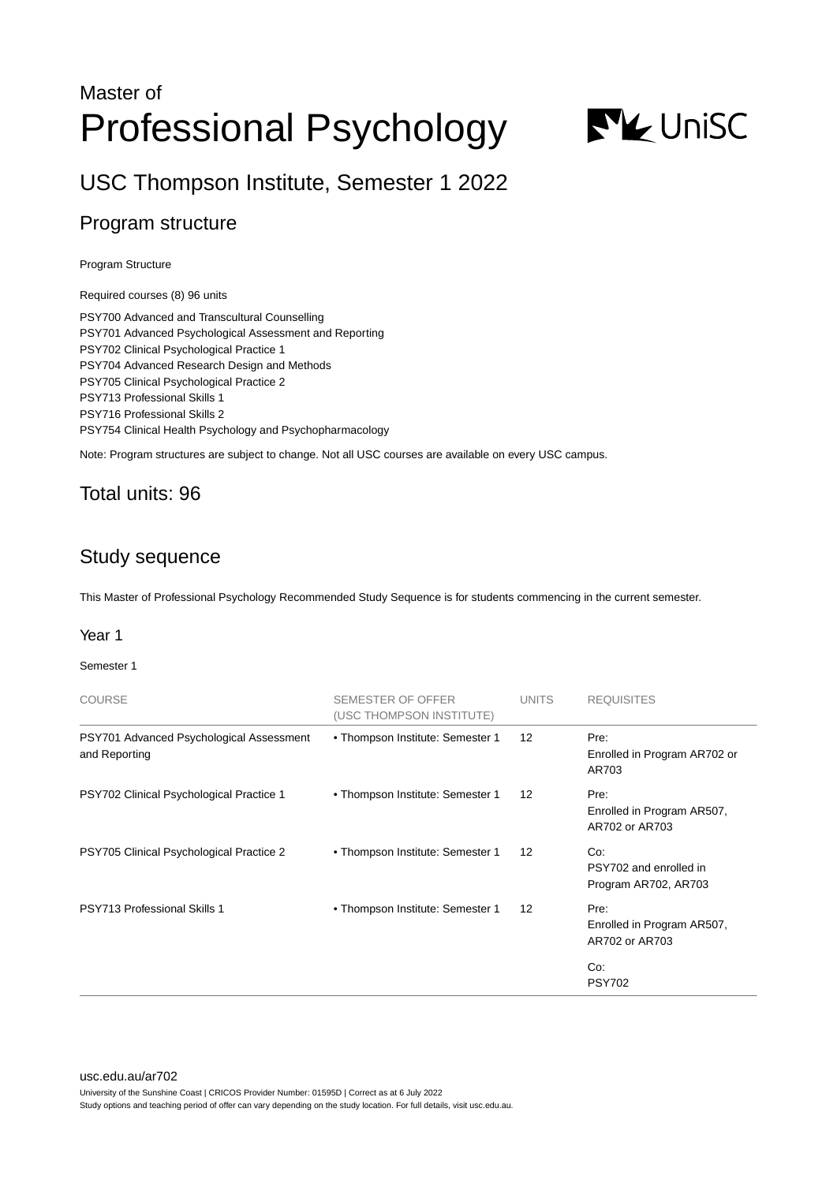# Master of Professional Psychology



USC Thompson Institute, Semester 1 2022

# Program structure

Program Structure

Required courses (8) 96 units

PSY700 Advanced and Transcultural Counselling PSY701 Advanced Psychological Assessment and Reporting PSY702 Clinical Psychological Practice 1 PSY704 Advanced Research Design and Methods PSY705 Clinical Psychological Practice 2 PSY713 Professional Skills 1 PSY716 Professional Skills 2 PSY754 Clinical Health Psychology and Psychopharmacology

Note: Program structures are subject to change. Not all USC courses are available on every USC campus.

## Total units: 96

# Study sequence

This Master of Professional Psychology Recommended Study Sequence is for students commencing in the current semester.

## Year 1

Semester 1

| <b>COURSE</b>                                             | <b>SEMESTER OF OFFER</b><br>(USC THOMPSON INSTITUTE) | <b>UNITS</b>      | <b>REQUISITES</b>                                     |
|-----------------------------------------------------------|------------------------------------------------------|-------------------|-------------------------------------------------------|
| PSY701 Advanced Psychological Assessment<br>and Reporting | • Thompson Institute: Semester 1                     | $12 \overline{ }$ | Pre:<br>Enrolled in Program AR702 or<br>AR703         |
| PSY702 Clinical Psychological Practice 1                  | • Thompson Institute: Semester 1                     | $12 \overline{ }$ | Pre:<br>Enrolled in Program AR507,<br>AR702 or AR703  |
| PSY705 Clinical Psychological Practice 2                  | • Thompson Institute: Semester 1                     | 12                | Co:<br>PSY702 and enrolled in<br>Program AR702, AR703 |
| <b>PSY713 Professional Skills 1</b>                       | • Thompson Institute: Semester 1                     | $12 \overline{ }$ | Pre:<br>Enrolled in Program AR507,<br>AR702 or AR703  |
|                                                           |                                                      |                   | Co:<br><b>PSY702</b>                                  |